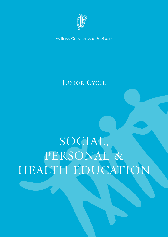

AN ROINN OIDEACHAIS AGUS EOLAÍOCHTA

### JUNIOR CYCLE

# SOCIAL, PERSONAL & HEALTH EDUCATION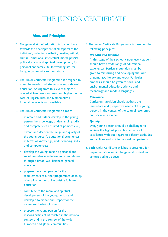### THE JUNIOR CERTIFICATE

### **Aims and Principles**

- 1. The general aim of education is to contribute towards the development of all aspects of the individual, including aesthetic, creative, critical, cultural, emotional, intellectual, moral, physical, political, social and spiritual development, for personal and family life, for working life, for living in community and for leisure.
- 2. The Junior Certificate Programme is designed to meet the needs of all students in second-level education. Arising from this, every subject is offered at two levels, ordinary and higher. In the case of English, Irish and Mathematics a foundation level is also available.
- 3. The Junior Certificate Programme aims to
	- reinforce and further develop in the young person the knowledge, understanding, skills and competencies acquired at primary level;
	- extend and deepen the range and quality of the young person's educational experiences in terms of knowledge, understanding, skills and competencies;
	- develop the young person's personal and social confidence, initiative and competence through a broad, well balanced general education;
	- prepare the young person for the requirements of further programmes of study, of employment or of life outside full-time education;
	- contribute to the moral and spiritual development of the young person and to develop a tolerance and respect for the values and beliefs of others;
	- prepare the young person for the responsibilities of citizenship in the national context and in the context of the wider European and global communities.

4. The Junior Certificate Programme is based on the following principles:

#### *Breadth and balance*

At this stage of their school career, every student should have a wide range of educational experiences. Particular attention must be given to reinforcing and developing the skills of numeracy, literacy and oracy. Particular emphasis should be given to social and environmental education, science and technology and modern languages.

#### *Relevance*

Curriculum provision should address the immediate and prospective needs of the young person, in the context of the cultural, economic and social environment.

#### *Quality*

Every young person should be challenged to achieve the highest possible standards of excellence, with due regard to different aptitudes and abilities and to international comparisons.

5. Each Junior Certificate Syllabus is presented for implementation within the general curriculum context outlined above.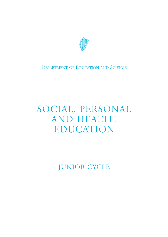

### DEPARTMENT OF EDUCATION AND SCIENCE

## SOCIAL, PERSONAL AND HEALTH EDUCATION

JUNIOR CYCLE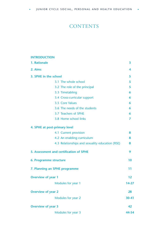### **CONTENTS**

### **INTRODUCTION**

| 1. Rationale                                    | 3     |
|-------------------------------------------------|-------|
| 2. Aims                                         | 4     |
| 3. SPHE in the school                           | 5     |
| 3.1 The whole school                            | 5     |
| 3.2 The role of the principal                   | 5     |
| 3.3 Timetabling                                 | 6     |
| 3.4 Cross-curricular support                    | 6     |
| 3.5 Core Values                                 | 6     |
| 3.6 The needs of the students                   | 6     |
| 3.7 Teachers of SPHE                            | 6     |
| 3.8 Home school links                           | 7     |
| 4. SPHE at post-primary level                   |       |
| 4.1 Current provision                           | 8     |
| 4.2 An enabling curriculum                      | 8     |
| 4.3 Relationships and sexuality education (RSE) | 8     |
| 5. Assessment and certification of SPHE         | 9     |
| 6. Programme structure                          | 10    |
| 7. Planning an SPHE programme                   | 11    |
| <b>Overview of year 1</b>                       | 12    |
| Modules for year 1                              | 14-27 |
| <b>Overview of year 2</b>                       | 28    |
| Modules for year 2                              | 30-41 |
| <b>Overview of year 3</b>                       | 42    |
| Modules for year 3                              | 44-54 |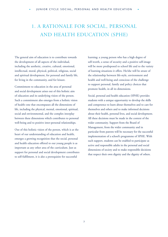### <span id="page-6-0"></span>1. A RATIONALE FOR SOCIAL, PERSONAL AND HEALTH EDUCATION (SPHE)

The general aim of education is to contribute towards the development of all aspects of the individual, including the aesthetic, creative, cultural, emotional, intellectual, moral, physical, political, religious, social and spiritual development, for personal and family life, for living in the community, and for leisure.

Commitment to education in the area of personal and social development arises out of this holistic aim of education and its underlying vision of the person. Such a commitment also emerges from a holistic vision of health–one that encompasses all the dimensions of life, including the physical, mental, emotional, spiritual, social and environmental, and the complex interplay between these dimensions which contributes to personal well-being and to positive inter-personal relationships.

Out of this holistic vision of the person, which is at the heart of our understanding of education and health, emerges a growing recognition that the social, personal and health education offered to our young people is as important as any other area of the curriculum. Just as support for personal and social development contributes to self-fulfilment, it is also a prerequisite for successful

learning; a young person who has a high degree of self-worth, a sense of security and a positive self-image will be more predisposed to school life and to the variety of learning situations it offers. He/she will be aware of the relationship between life-style, environment and health and well-being and conscious of the challenge to support personal, family and policy choices that promote health, in all its dimensions.

Social, personal and health education (SPHE) provides students with a unique opportunity to develop the skills and competence to learn about themselves and to care for themselves and others and to make informed decisions about their health, personal lives, and social development. All these decisions must be made in the context of the wider community. Support from the Board of Management, from the wider community and in particular from parents will be necessary for the successful implementation of a school's programme of SPHE. With such support, students can be enabled to participate as active and responsible adults in the personal and social dimensions of society and to make responsible decisions that respect their own dignity and the dignity of others.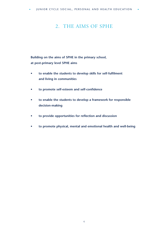### <span id="page-7-0"></span>2. THE AIMS OF SPHE

**Building on the aims of SPHE in the primary school, at post-primary level SPHE aims**

- **to enable the students to develop skills for self-fulfilment and living in communities**
- **to promote self-esteem and self-confidence**
- **to enable the students to develop a framework for responsible decision-making**
- **to provide opportunities for reflection and discussion**
- **to promote physical, mental and emotional health and well-being**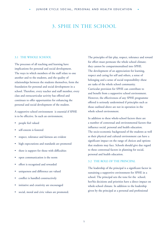### <span id="page-8-0"></span>3. SPHE IN THE SCHOOL

#### 3.1 THE WHOLE SCHOOL

The processes of all teaching and learning have implications for personal and social development. The ways in which members of the staff relate to one another and to the students, and the quality of relationships between the students themselves, form the foundation for personal and social development in a school. Therefore, every teacher and staff member, every class and extracurricular activity has offered and continues to offer opportunities for enhancing the personal and social development of the student.

A supportive school environment is essential if SPHE is to be effective. In such an environment,

- people feel valued
- self-esteem is fostered
- respect, tolerance and fairness are evident
- high expectations and standards are promoted
- there is support for those with difficulties
- open communication is the norm
- effort is recognised and rewarded
- uniqueness and difference are valued
- conflict is handled constructively
- initiative and creativity are encouraged
- social, moral and civic values are promoted.

The principles of fair play, respect, tolerance and reward for effort must permeate the whole school climate; they cannot be compartmentalised into SPHE. The development of an appreciation for learning, respect and caring for self and others, a sense of belonging and a sense of social responsibility–these are tasks of the whole school community. Curricular provision for SPHE can contribute to and benefit from a supportive school environment. However, the effectiveness of any SPHE programme offered is seriously undermined if principles such as those outlined above are not in operation in the whole school environment.

In addition to these whole-school factors there are a number of contextual and environmental factors that influence social, personal and health education. The socio-economic background of the students as well as their physical and cultural environment can have a significant impact on the range of choices and options that students may face. Schools should give due regard to these contextual factors in planning for social, personal and health education.

#### 3.2 THE ROLE OF THE PRINCIPAL

The leadership of the principal is a significant factor in sustaining a supportive environment for SPHE in a school. The principal sets the tone for the school; her/his decisions and priorities have a direct impact on whole-school climate. In addition to the leadership given by the principal at a personal and professional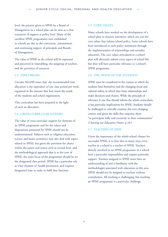<span id="page-9-0"></span>level, the priority given to SPHE by a Board of Management in a school plan can be seen as a clear statement of support at policy level. Many of the excellent SPHE programmes now established in schools are due to the conviction, commitment and continuing support of principals and Boards of Management.

The value of SPHE in the school will be expressed and perceived in timetabling, the assigning of teachers, and the provision of resources.

#### 3.3 TIMETABLING

Circular M22/00 states that the recommended time allocation is the equivalent of one class period per week, organised in the manner that best meets the needs of the students and school organisation.

This curriculum has been prepared in the light of such an allocation.

#### 3.4 CROSS-CURRICULAR SUPPORT

The value of cross-curricular support for elements of an SPHE programme and for the values and dispositions promoted by SPHE should not be underestimated. Subjects such as religious education, science and home economics may also deal with topics related to SPHE; but given the provision for choice within the junior and senior cycle at second level, and the methodological approach that is at the core of SPHE, the main focus of the programme should be on the designated class period. SPHE has a particular role as a key element of health promotion, and requires designated time in order to fulfil that function.

#### 3.5 CORE VALUES

Many schools have worked on the development of a school plan or mission statement, which sets out the core values that inform school policy. Some schools have been introduced to such policy statements through the implementation of relationships and sexuality education. The core values articulated in a school plan will obviously inform every aspect of school life; but they will have particular relevance to a school's SPHE programme.

#### 3.6 THE NEEDS OF THE STUDENTS

SPHE must be considered in the context in which the students find themselves and the changing social and cultural milieu in which they form relationships and make decisions and choices. While the principle of relevance is one that should inform the whole curriculum, it has particular implications for SPHE. Students should be challenged to critically examine this ever-changing context and given the skills that empower them "to participate fully and creatively in their communities" (*Charting our Education Future,* p.10.)

#### 3.7 TEACHERS OF SPHE

Given the importance of the whole-school climate for successful SPHE, it is clear that in many ways every teacher in a school is a teacher of SPHE. Teachers directly involved in an SPHE programme in a school have a particular responsibility and require particular support. Teachers assigned to SPHE must have an understanding of and a familiarity with the methodologies associated with education in this area. SPHE should not be assigned to teachers without consultation. All teaching is challenging, but teaching an SPHE programme is a particular challenge,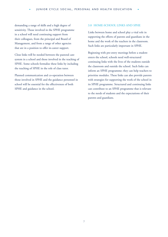<span id="page-10-0"></span>demanding a range of skills and a high degree of sensitivity. Those involved in the SPHE programme in a school will need continuing support from their colleagues, from the principal and Board of Management, and from a range of other agencies that are in a position to offer in-career support.

Close links will be needed between the pastoral care system in a school and those involved in the teaching of SPHE. Some schools formalise these links by including the teaching of SPHE in the role of class tutor.

Planned communication and co-operation between those involved in SPHE and the guidance personnel in school will be essential for the effectiveness of both SPHE and guidance in the school.

#### 3.8 HOME-SCHOOL LINKS AND SPHE

Links between home and school play a vital role in supporting the efforts of parents and guardians in the home and the work of the teachers in the classroom. Such links are particularly important in SPHE.

Beginning with pre-entry meetings before a student enters the school, schools need well-structured continuing links with the lives of the students outside the classroom and outside the school. Such links can inform an SPHE programme; they can help teachers to prioritise modules. These links can also provide parents with strategies for supporting the work of the school in its SPHE programme. Structured and continuing links can contribute to an SPHE programme that is relevant to the needs of students and the expectations of their parents and guardians.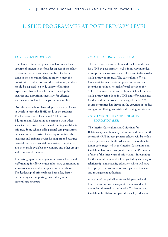### <span id="page-11-0"></span>4. SPHE PROGRAMMES AT POST PRIMARY LEVEL

#### 4.1 CURRENT PROVISION

It is clear that in recent years there has been a huge upsurge of interest in the broader aspects of the school curriculum. An ever-growing number of schools has come to the conclusion that, in order to meet the holistic aim of education and the curriculum, students should be exposed to a wide variety of learning experiences that will enable them to develop the qualities and dispositions necessary for effective learning at school and participation in adult life.

Over the years schools have adopted a variety of ways in which to meet the SPHE needs of the students. The Departments of Health and Children and Education and Science, in co-operation with other agencies, have made resources and training available in this area. Some schools offer pastoral care programmes, drawing on the expertise of a variety of individuals, institutes and training bodies for support and resource material. Resource material on a variety of topics has also been made available by voluntary and other groups and commercial interests.

The setting up of a tutor system in many schools, and staff training in effective tutor roles, have contributed to a positive climate and atmosphere in these schools. The leadership of principals has been a key factor in initiating and supporting this and any other pastoral care structure.

#### 4.2 AN ENABLING CURRICULUM

The provision of a curriculum and teacher guidelines for SPHE at post-primary level is in no way intended to supplant or terminate the excellent and indispensable work already in progress. The curriculum offers a framework for many existing programmes and an incentive for schools to make formal provision for SPHE. It is an enabling curriculum which will support work already being done in SPHE and offer guidelines for that and future work. In this regard the NCCA course committee has drawn on the expertise of bodies and groups offering materials and training in this area.

#### 4.3 RELATIONSHIPS AND SEXUALITY EDUCATION (RSE)

The Interim Curriculum and Guidelines for Relationships and Sexuality Education indicates that the context for RSE in post-primary schools will be within social, personal and health education. The outline for junior cycle suggested in the Interim Curriculum and Guidelines has been incorporated into the RSE module of each of the three years of this syllabus. In planning for this module, a school will be guided by its policy on relationships and sexuality education which will have been prepared in consultation with parents, teachers, and management authorities.

A section of the guidelines for social, personal and health education will incorporate the remainder of the topics addressed in the Interim Curriculum and Guidelines for Relationships and Sexuality Education.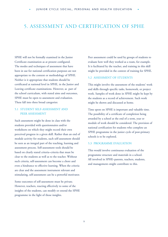### <span id="page-12-0"></span>5. ASSESSMENT AND CERTIFICATION OF SPHE

SPHE will not be formally examined in the Junior Certificate examination as at present configured. The modes and techniques of assessment that have been in use for national certification purposes are not appropriate to the content or methodology of SPHE. Neither is it appropriate that students should be certificated at national level in SPHE, in the Junior and Leaving certificate examinations. However, as part of the school curriculum, with stated aims and outcomes, SPHE must be open to assessment and evaluation. These fall into three broad categories:

### 5.1 STUDENT SELF-ASSESSMENT AND PEER ASSESSMENT

Such assessment might be done in class with the students provided with questionnaires and/or worksheets on which they might record their own perceived progress in a given skill. Rather than an end of module activity for students, such self-assessment should be seen as an integral part of the teaching, learning and assessment process. Self-assessment tools should be based on clearly stated criteria–criteria that must be clear to the students as well as to the teacher. Without such criteria, self-assessment can become a chore and even a hindrance to effective learning. When the criteria are clear and the assessment instrument relevant and stimulating, self-assessment can be a powerful motivator.

Some outcomes of self-assessment must be private. However, teachers, reacting effectively to some of the insights of the students, can modify or extend the SPHE programme in the light of those insights.

Peer assessment could be used by groups of students to evaluate how well they worked as a team, for example. It is facilitated by the teacher, and training in this skill might be provided in the context of training for SPHE.

#### 5.2 ASSESSMENT OF STUDENTS

This might involve the assessment of the students' work and skills through specific tasks, homework, or project work. Samples of work done in SPHE might be kept by the students as a record of achievement. Such work might be shown and discussed at home.

Time spent on SPHE is important and valuable time. The possibility of a certificate of completion being awarded by a school at the end of a term, year or module of work should be considered. The provision of national certification for students who complete an SPHE programme in the junior cycle of post-primary schools is to be explored.

#### 5.3 PROGRAMME EVALUATION

This would involve continuous evaluation of the programme structure and materials in a school. All involved in SPHE–parents, teachers, students, and management–might contribute to this.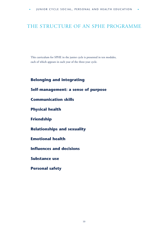### <span id="page-13-0"></span>THE STRUCTURE OF AN SPHE PROGRAMME

This curriculum for SPHE in the junior cycle is presented in ten modules, each of which appears in each year of the three-year cycle.

### **Belonging and integrating**

### **Self-management: a sense of purpose**

**Communication skills**

**Physical health**

**Friendship**

**Relationships and sexuality**

### **Emotional health**

**Influences and decisions**

**Substance use**

**Personal safety**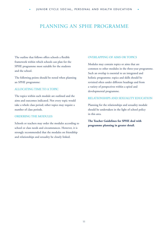### <span id="page-14-0"></span>PLANNING AN SPHE PROGRAMME

The outline that follows offers schools a flexible framework within which schools can plan for the SPHE programme most suitable for the students and the school.

The following points should be noted when planning an SPHE programme:

#### ALLOCATING TIME TO A TOPIC

The topics within each module are outlined and the aims and outcomes indicated. Not every topic would take a whole class period; other topics may require a number of class periods.

#### ORDERING THE MODULES

Schools or teachers may order the modules according to school or class needs and circumstances. However, it is strongly recommended that the modules on friendship and relationships and sexuality be closely linked.

### OVERLAPPING OF AIMS OR TOPICS

Modules may contain topics or aims that are common to other modules in the three-year programme. Such an overlap is essential to an integrated and holistic programme; topics and skills should be revisited often under different headings and from a variety of perspectives within a spiral and developmental programme.

#### RELATIONSHIPS AND SEXUALITY EDUCATION

Planning for the relationships and sexuality module should be undertaken in the light of school policy in this area.

**The Teacher Guidelines for SPHE deal with programme planning in greater detail.**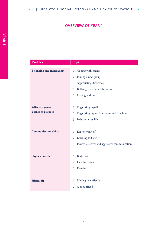### **OVERVIEW OF YEAR 1**

<span id="page-15-0"></span>

| <b>Modules</b>                         | <b>Topics</b>                                                                                                                              |
|----------------------------------------|--------------------------------------------------------------------------------------------------------------------------------------------|
| <b>Belonging and integrating</b>       | 1. Coping with change<br>2. Joining a new group<br>3. Appreciating difference<br>4. Bullying is everyone's business<br>5. Coping with loss |
| Self-management:<br>a sense of purpose | 1. Organising myself<br>2. Organising my work at home and in school<br>3. Balance in my life                                               |
| <b>Communication skills</b>            | 1. Express yourself<br>2. Learning to listen<br>3. Passive, assertive and aggressive communication                                         |
| Physical health                        | 1. Body care<br>2. Healthy eating<br>3. Exercise                                                                                           |
| Friendship                             | 1. Making new friends<br>2. A good friend                                                                                                  |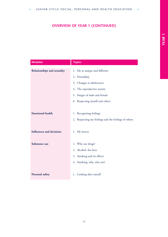### **OVERVIEW OF YEAR 1 (CONTINUED)**

| <b>Modules</b>                     | <b>Topics</b>                                                                                                                                                                |
|------------------------------------|------------------------------------------------------------------------------------------------------------------------------------------------------------------------------|
| <b>Relationships and sexuality</b> | 1. Me as unique and different<br>2. Friendship<br>3. Changes at adolescence<br>4. The reproductive system<br>5. Images of male and female<br>6. Respecting myself and others |
| <b>Emotional health</b>            | 1. Recognising feelings<br>2. Respecting my feelings and the feelings of others                                                                                              |
| <b>Influences and decisions</b>    | 1. My heroes                                                                                                                                                                 |
| Substance use                      | 1. Why use drugs?<br>2. Alcohol: the facts<br>3. Smoking and its effects<br>4. Smoking: why, why not?                                                                        |
| <b>Personal safety</b>             | 1. Looking after myself                                                                                                                                                      |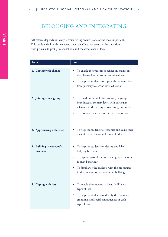### <span id="page-17-0"></span>BELONGING AND INTEGRATING

Self-esteem depends on many factors; feeling secure is one of the most important. This module deals with two events that can affect that security: the transition from primary to post-primary school, and the experience of loss.

| <b>Topic</b>                          | <b>Aims</b>                                                                                                                                                                                                                                |
|---------------------------------------|--------------------------------------------------------------------------------------------------------------------------------------------------------------------------------------------------------------------------------------------|
| 1. Coping with change                 | To enable the students to reflect on change in<br>their lives-physical, social, emotional, etc.<br>To help the students to cope with the transition<br>from primary to second-level education                                              |
| 2. Joining a new group                | To build on the skills for working in groups<br>introduced at primary level, with particular<br>reference to the setting of rules for group work<br>To promote awareness of the needs of others                                            |
| 3. Appreciating difference            | To help the students to recognise and value their<br>own gifts and talents and those of others                                                                                                                                             |
| 4. Bullying is everyone's<br>business | To help the students to identify and label<br>bullying behaviour<br>To explore possible personal and group responses<br>to such behaviour<br>To familiarise the students with the procedures<br>in their school for responding to bullying |
| 5. Coping with loss                   | To enable the students to identify different<br>types of loss<br>To help the students to identify the personal,<br>emotional and social consequences of each<br>type of loss                                                               |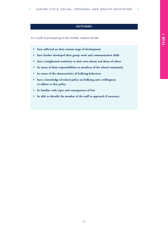#### **OUTCOMES**

- **have reflected on their current stage of development**
- **have further developed their group work and communication skills**
- **have a heightened sensitivity to their own talents and those of others**
- **be aware of their responsibilities as members of the school community**
- **be aware of the characteristics of bullying behaviour**
- **have a knowledge of school policy on bullying and a willingness to adhere to that policy**
- **be familiar with types and consequences of loss**
- **be able to identify the member of the staff to approach if necessary.**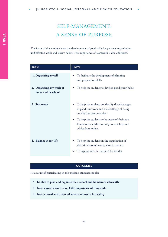### SELF-MANAGEMENT: A SENSE OF PURPOSE

The focus of this module is on the development of good skills for personal organisation and effective work and leisure habits. The importance of teamwork is also addressed.

| <b>Topic</b>                                   | Aims                                                                                                                               |
|------------------------------------------------|------------------------------------------------------------------------------------------------------------------------------------|
| 1. Organising myself                           | To facilitate the development of planning<br>and preparation skills                                                                |
| 2. Organising my work at<br>home and in school | To help the students to develop good study habits                                                                                  |
| 3. Teamwork                                    | To help the students to identify the advantages<br>٠<br>of good teamwork and the challenge of being<br>an effective team member    |
|                                                | To help the students to be aware of their own<br>limitations and the necessity to seek help and<br>advice from others              |
| 4. Balance in my life                          | To help the students in the organisation of<br>their time around work, leisure, and rest<br>To explore what it means to be healthy |

#### **OUTCOMES**

- **be able to plan and organise their school and homework efficiently**
- **have a greater awareness of the importance of teamwork**
- **have a broadened vision of what it means to be healthy.**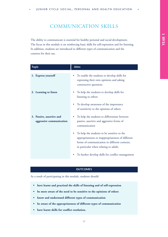### COMMUNICATION SKILLS

The ability to communicate is essential for healthy personal and social development. The focus in this module is on reinforcing basic skills for self-expression and for listening. In addition, students are introduced to different types of communication and the contexts for their use.

| <b>Topic</b>                                          | <b>Aims</b>                                                                                                                                                                                     |
|-------------------------------------------------------|-------------------------------------------------------------------------------------------------------------------------------------------------------------------------------------------------|
| 1. Express yourself                                   | To enable the students to develop skills for<br>٠<br>expressing their own opinions and asking<br>constructive questions                                                                         |
| 2. Learning to listen                                 | To help the students to develop skills for<br>listening to others                                                                                                                               |
|                                                       | To develop awareness of the importance<br>۰<br>of sensitivity to the opinions of others                                                                                                         |
| 3. Passive, assertive and<br>aggressive communication | To help the students to differentiate between<br>passive, assertive and aggressive forms of<br>communication                                                                                    |
|                                                       | To help the students to be sensitive to the<br>۰<br>appropriateness or inappropriateness of different<br>forms of communication in different contexts,<br>in particular when relating to adults |
|                                                       | To further develop skills for conflict management<br>۰                                                                                                                                          |

#### **OUTCOMES**

- **have learnt and practised the skills of listening and of self-expression**
- **be more aware of the need to be sensitive to the opinions of others**
- **know and understand different types of communication**
- **be aware of the appropriateness of different types of communication**
- **have learnt skills for conflict resolution.**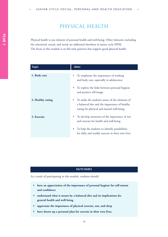### PHYSICAL HEALTH

Physical health is one element of personal health and well-being. Other elements–including the emotional, sexual, and social–are addressed elsewhere in junior cycle SPHE. The focus in this module is on life-style patterns that support good physical health.

| <b>Topic</b>      | <b>Aims</b>                                                                                                                                 |
|-------------------|---------------------------------------------------------------------------------------------------------------------------------------------|
| 1. Body care      | To emphasise the importance of washing<br>and body care, especially in adolescence                                                          |
|                   | To explore the links between personal hygiene<br>and positive self-image                                                                    |
| 2. Healthy eating | To make the students aware of the elements of<br>a balanced diet and the importance of healthy<br>eating for physical and mental well-being |
| 3. Exercise       | To develop awareness of the importance of rest<br>and exercise for health and well-being                                                    |
|                   | To help the students to identify possibilities<br>for daily and weekly exercise in their own lives                                          |

#### **OUTCOMES**

- **have an appreciation of the importance of personal hygiene for self-esteem and confidence**
- **understand what is meant by a balanced diet and its implications for general health and well-being**
- **appreciate the importance of physical exercise, rest, and sleep**
- **have drawn up a personal plan for exercise in their own lives.**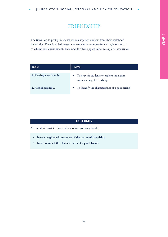### FRIENDSHIP

The transition to post-primary school can separate students from their childhood friendships. There is added pressure on students who move from a single-sex into a co-educational environment. This module offers opportunities to explore these issues.

| <b>Topic</b>          | <b>Aims</b>                                                                          |
|-----------------------|--------------------------------------------------------------------------------------|
| 1. Making new friends | To help the students to explore the nature<br>$\bullet$<br>and meaning of friendship |
| 2. A good friend      | To identify the characteristics of a good friend<br>٠                                |

#### **OUTCOMES**

- **have a heightened awareness of the nature of friendship**
- **have examined the characteristics of a good friend.**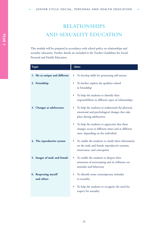### RELATIONSHIPS AND SEXUALITY EDUCATION

This module will be prepared in accordance with school policy on relationships and sexuality education. Further details are included in the Teacher Guidelines for Social, Personal and Health Education.

| <b>Topic</b>                       | <b>Aims</b>                                                                                                                              |
|------------------------------------|------------------------------------------------------------------------------------------------------------------------------------------|
| 1. Me as unique and different      | To develop skills for promoting self-esteem                                                                                              |
| 2. Friendship                      | To further explore the qualities valued<br>in friendship                                                                                 |
|                                    | To help the students to identify their<br>responsibilities in different types of relationships                                           |
| 3. Changes at adolescence          | To help the students to understand the physical,<br>emotional and psychological changes that take<br>place during adolescence            |
|                                    | To help the students to appreciate that these<br>changes occur at different times and at different<br>rates, depending on the individual |
| 4. The reproductive system         | To enable the students to clarify their information<br>on the male and female reproductive systems,<br>intercourse, and conception       |
| 5. Images of male and female       | To enable the students to deepen their<br>awareness of stereotyping and its influence on<br>attitudes and behaviour                      |
| 6. Respecting myself<br>and others | To identify some contemporary attitudes<br>to sexuality                                                                                  |
|                                    | To help the students to recognise the need for<br>٠<br>respect for sexuality                                                             |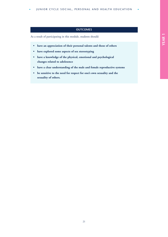### **OUTCOMES**

- **have an appreciation of their personal talents and those of others**
- **have explored some aspects of sex stereotyping**
- **have a knowledge of the physical, emotional and psychological changes related to adolesence**
- **have a clear understanding of the male and female reproductive systems**
- **be sensitive to the need for respect for one's own sexuality and the sexuality of others.**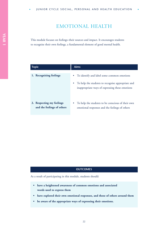### EMOTIONAL HEALTH

This module focuses on feelings–their sources and impact. It encourages students to recognise their own feelings, a fundamental element of good mental health.

| Topic                                                   | <b>Aims</b>                                                                                                                                          |
|---------------------------------------------------------|------------------------------------------------------------------------------------------------------------------------------------------------------|
| 1. Recognising feelings                                 | • To identify and label some common emotions<br>To help the students to recognise appropriate and<br>inappropriate ways of expressing these emotions |
| 2. Respecting my feelings<br>and the feelings of others | To help the students to be conscious of their own<br>$\bullet$<br>emotional responses and the feelings of others                                     |

#### **OUTCOMES**

- **have a heightened awareness of common emotions and associated words used to express them**
- **have explored their own emotional responses, and those of others around them**
- **be aware of the appropriate ways of expressing their emotions.**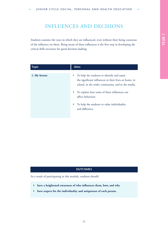### INFLUENCES AND DECISIONS

Students examine the ways in which they are influenced, even without their being conscious of the influence on them. Being aware of these influences is the first step in developing the critical skills necessary for good decision-making.

| <b>Topic</b> | <b>Aims</b>                                                                                                                                                          |
|--------------|----------------------------------------------------------------------------------------------------------------------------------------------------------------------|
| 1. My heroes | To help the students to identify and name<br>$\bullet$<br>the significant influences in their lives-at home, in<br>school, in the wider community, and in the media. |
|              | To explore how some of these influences can<br>affect behaviour                                                                                                      |
|              | To help the students to value individuality<br>and difference                                                                                                        |

### **OUTCOMES**

As a result of participating in this module, students should:

- **have a heightened awareness of who influences them, how, and why**
- **have respect for the individuality and uniqueness of each person.**

**YEAR 1 YEAR 1**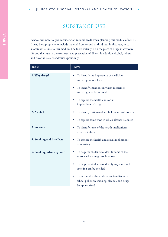### SUBSTANCE USE

Schools will need to give consideration to local needs when planning this module of SPHE. It may be appropriate to include material from second or third year in first year, or to allocate extra time to this module. The focus initially is on the place of drugs in everyday life and their use in the treatment and prevention of illness. In addition alcohol, solvent and nicotine use are addressed specifically.

| <b>Topic</b>               | <b>Aims</b>                                                                                                            |
|----------------------------|------------------------------------------------------------------------------------------------------------------------|
| 1. Why drugs?              | To identify the importance of medicines<br>٠<br>and drugs in our lives                                                 |
|                            | To identify situations in which medicines<br>٠<br>and drugs can be misused                                             |
|                            | To explore the health and social<br>٠<br>implications of drugs                                                         |
| 2. Alcohol                 | To identify patterns of alcohol use in Irish society<br>٠                                                              |
|                            | To explore some ways in which alcohol is abused<br>٠                                                                   |
| 3. Solvents                | To identify some of the health implications<br>٠<br>of solvent abuse                                                   |
| 4. Smoking and its effects | To explore the health and social implications<br>of smoking                                                            |
| 5. Smoking: why, why not?  | To help the students to identify some of the<br>reasons why young people smoke                                         |
|                            | To help the students to identify ways in which<br>۰<br>smoking can be avoided                                          |
|                            | To ensure that the students are familiar with<br>0<br>school policy on smoking, alcohol, and drugs<br>(as appropriate) |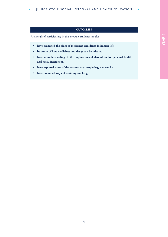### **OUTCOMES**

- **have examined the place of medicines and drugs in human life**
- **be aware of how medicines and drugs can be misused**
- **have an understanding of the implications of alcohol use for personal health and social interaction**
- **have explored some of the reasons why people begin to smoke**
- **have examined ways of avoiding smoking.**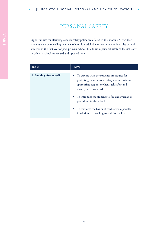### PERSONAL SAFETY

Opportunities for clarifying schools' safety policy are offered in this module. Given that students may be travelling to a new school, it is advisable to revise road safety rules with all students in the first year of post-primary school. In addition, personal safety skills first learnt in primary school are revised and updated here.

| <b>Topic</b>            | <b>Aims</b>                                                                                                                                                                 |
|-------------------------|-----------------------------------------------------------------------------------------------------------------------------------------------------------------------------|
| 1. Looking after myself | • To explore with the students procedures for<br>protecting their personal safety and security and<br>appropriate responses when such safety and<br>security are threatened |
|                         | • To introduce the students to fire and evacuation<br>procedures in the school                                                                                              |
|                         | • To reinforce the basics of road safety, especially<br>in relation to travelling to and from school                                                                        |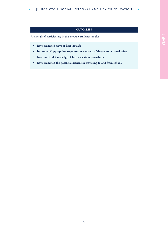### **OUTCOMES**

- **have examined ways of keeping safe**
- **be aware of appropriate responses to a variety of threats to personal safety**
- **have practical knowledge of fire evacuation procedures**
- **have examined the potential hazards in travelling to and from school.**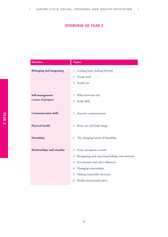### **OVERVIEW OF YEAR 2**

<span id="page-31-0"></span>

| <b>Modules</b>                         | <b>Topics</b>                                                                      |
|----------------------------------------|------------------------------------------------------------------------------------|
| <b>Belonging and integrating</b>       | 1. Looking back, looking forward<br>2. Group work<br>3. Family ties                |
| Self-management:<br>a sense of purpose | 1. What motivates me?<br>2. Study skills                                           |
| <b>Communication skills</b>            | 1. Assertive communication                                                         |
| <b>Physical health</b>                 | 1. Body care and body image                                                        |
| Friendship                             | 1. The changing nature of friendship                                               |
| <b>Relationships and sexuality</b>     | 1. From conception to birth<br>2. Recognising and expressing feelings and emotions |
|                                        | 3. Peer pressure and other influences                                              |
|                                        | 4. Managing relationships                                                          |
|                                        | 5. Making responsible decisions                                                    |
|                                        | 6. Health and personal safety                                                      |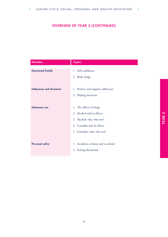### **OVERVIEW OF YEAR 2 (CONTINUED)**

| <b>Modules</b>                  | <b>Topics</b>                       |
|---------------------------------|-------------------------------------|
| <b>Emotional health</b>         | 1. Self-confidence                  |
|                                 | 2. Body image                       |
|                                 |                                     |
| <b>Influences and decisions</b> | 1. Positive and negative influences |
|                                 | 2. Making decisions                 |
|                                 |                                     |
| Substance use                   | 1. The effects of drugs             |
|                                 | 2. Alcohol and its effects          |
|                                 | 3. Alcohol: why, why not?           |
|                                 | 4. Cannabis and its effects         |
|                                 | 5. Cannabis: why, why not?          |
|                                 |                                     |
| Personal safety                 | 1. Accidents at home and in school  |
|                                 | 2. Feeling threatened               |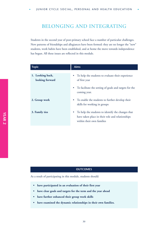### <span id="page-33-0"></span>BELONGING AND INTEGRATING

Students in the second year of post-primary school face a number of particular challenges. New patterns of friendships and allegiances have been formed: they are no longer the "new" students, work habits have been established, and at home the move towards independence has begun. All these issues are reflected in this module.

| <b>Topic</b>                        | <b>Aims</b>                                                                                                                             |
|-------------------------------------|-----------------------------------------------------------------------------------------------------------------------------------------|
| 1. Looking back,<br>looking forward | To help the students to evaluate their experience<br>$\bullet$<br>of first year                                                         |
|                                     | To facilitate the setting of goals and targets for the<br>$\bullet$<br>coming year.                                                     |
| 2. Group work                       | • To enable the students to further develop their<br>skills for working in groups                                                       |
| 3. Family ties                      | To help the students to identify the changes that<br>٠<br>have taken place in their role and relationships<br>within their own families |

#### **OUTCOMES**

- **have participated in an evaluation of their first year**
- **have clear goals and targets for the term and the year ahead**
- **have further enhanced their group work skills**
- **have examined the dynamic relationships in their own families.**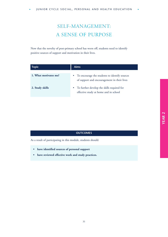### SELF-MANAGEMENT: A SENSE OF PURPOSE

Now that the novelty of post-primary school has worn off, students need to identify positive sources of support and motivation in their lives.

| <b>Topic</b>          | <b>Aims</b>                                                                                               |
|-----------------------|-----------------------------------------------------------------------------------------------------------|
| 1. What motivates me? | To encourage the students to identify sources<br>$\bullet$<br>of support and encouragement in their lives |
| 2. Study skills       | To further develop the skills required for<br>$\bullet$<br>effective study at home and in school          |

#### **OUTCOMES**

- **have identified sources of personal support**
- **have reviewed effective work and study practices.**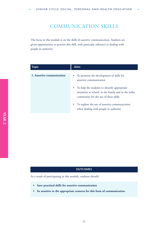### COMMUNICATION SKILLS

The focus in this module is on the skills of assertive communication. Students are given opportunities to practise this skill, with particular reference to dealing with people in authority.

| <b>Topic</b>               | <b>Aims</b>                                                                                                                                                                                                                         |
|----------------------------|-------------------------------------------------------------------------------------------------------------------------------------------------------------------------------------------------------------------------------------|
| 1. Assertive communication | • To promote the development of skills for<br>assertive communication<br>To help the students to identify appropriate<br>$\bullet$<br>situations at school, in the family and in the wider<br>community for the use of these skills |
|                            | To explore the use of assertive communication<br>٠<br>when dealing with people in authority                                                                                                                                         |

#### **OUTCOMES**

- **have practised skills for assertive communication**
- **be sensitive to the appropriate contexts for this form of communication.**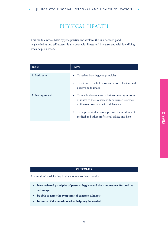### PHYSICAL HEALTH

This module revises basic hygiene practice and explores the link between good hygiene habits and self-esteem. It also deals with illness and its causes and with identifying when help is needed.

| <b>Topic</b>      | <b>Aims</b>                                                                                                                                                      |
|-------------------|------------------------------------------------------------------------------------------------------------------------------------------------------------------|
| 1. Body care      | • To review basic hygiene principles                                                                                                                             |
|                   | • To reinforce the link between personal hygiene and<br>positive body image                                                                                      |
| 2. Feeling unwell | To enable the students to link common symptoms<br>$\bullet$<br>of illness to their causes, with particular reference<br>to illnesses associated with adolescence |
|                   | To help the students to appreciate the need to seek<br>$\bullet$<br>medical and other professional advice and help                                               |

#### **OUTCOMES**

- **have reviewed principles of personal hygiene and their importance for positive self-image**
- **be able to name the symptoms of common ailments**
- **be aware of the occasions when help may be needed.**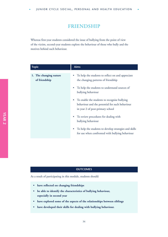### FRIENDSHIP

Whereas first-year students considered the issue of bullying from the point of view of the victim, second-year students explore the behaviour of those who bully and the motives behind such behaviour.

| <b>Topic</b>                            | <b>Aims</b>                                                                                                                             |
|-----------------------------------------|-----------------------------------------------------------------------------------------------------------------------------------------|
| 1. The changing nature<br>of friendship | To help the students to reflect on and appreciate<br>٠<br>the changing patterns of friendship                                           |
|                                         | To help the students to understand sources of<br>$\bullet$<br>bullying behaviour                                                        |
|                                         | To enable the students to recognise bullying<br>٠<br>behaviour and the potential for such behaviour<br>in year 2 of post-primary school |
|                                         | To review procedures for dealing with<br>$\bullet$<br>bullying behaviour                                                                |
|                                         | To help the students to develop strategies and skills<br>$\bullet$<br>for use when confronted with bullying behaviour                   |

#### **OUTCOMES**

- **have reflected on changing friendships**
- **be able to identify the characteristics of bullying behaviour, especially in second year**
- **have explored some of the aspects of the relationships between siblings**
- **have developed their skills for dealing with bullying behaviour.**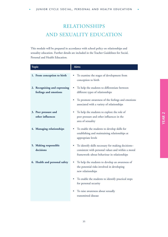### RELATIONSHIPS AND SEXUALITY EDUCATION

This module will be prepared in accordance with school policy on relationships and sexuality education. Further details are included in the Teacher Guidelines for Social, Personal and Health Education.

| <b>Topic</b>                                           | <b>Aims</b>                                                                                                                                            |
|--------------------------------------------------------|--------------------------------------------------------------------------------------------------------------------------------------------------------|
| 1. From conception to birth                            | To examine the stages of development from<br>conception to birth                                                                                       |
| 2. Recognising and expressing<br>feelings and emotions | To help the students to differentiate between<br>different types of relationships                                                                      |
|                                                        | To promote awareness of the feelings and emotions<br>associated with a variety of relationships                                                        |
| 3. Peer pressure and<br>other influences               | To help the students to explore the role of<br>peer pressure and other influences in the<br>area of sexuality                                          |
| 4. Managing relationships                              | To enable the students to develop skills for<br>establishing and maintaining relationships at<br>appropriate levels                                    |
| 5. Making responsible<br>decisions                     | To identify skills necessary for making decisions-<br>consistent with personal values and within a moral<br>framework-about behaviour in relationships |
| 6. Health and personal safety                          | To help the students to develop an awareness of<br>the potential risks involved in developing<br>new relationships                                     |
|                                                        | To enable the students to identify practical steps<br>for personal security                                                                            |
|                                                        | To raise awareness about sexually<br>transmitted disease                                                                                               |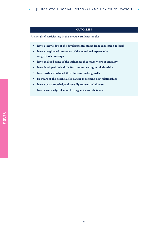#### **OUTCOMES**

- **have a knowledge of the developmental stages from conception to birth**
- **have a heightened awareness of the emotional aspects of a range of relationships**
- **have analysed some of the influences that shape views of sexuality**
- **have developed their skills for communicating in relationships**
- **have further developed their decision-making skills**
- **be aware of the potential for danger in forming new relationships**
- **have a basic knowledge of sexually transmitted disease**
- **have a knowledge of some help agencies and their role.**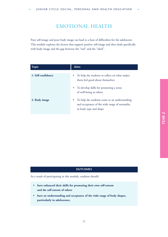### EMOTIONAL HEALTH

Poor self-image and poor body image can lead to a host of difficulties for the adolescent. This module explores the factors that support positive self-image and then deals specifically with body image and the gap between the "real" and the "ideal".

| <b>Topic</b>       | <b>Aims</b>                                                                                                                           |
|--------------------|---------------------------------------------------------------------------------------------------------------------------------------|
| 1. Self-confidence | To help the students to reflect on what makes<br>$\bullet$<br>them feel good about themselves                                         |
|                    | • To develop skills for promoting a sense<br>of well-being in others                                                                  |
| 2. Body image      | To help the students come to an understanding<br>$\bullet$<br>and acceptance of the wide range of normality<br>in body type and shape |

#### **OUTCOMES**

- **have enhanced their skills for promoting their own self-esteem and the self-esteem of others**
- **have an understanding and acceptance of the wide range of body shapes, particularly in adolescence.**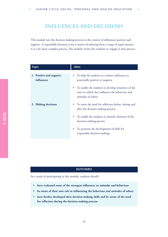### INFLUENCES AND DECISIONS

This module sets the decision-making process in the context of influences–positive and negative. A responsible decision is not a matter of selecting from a range of equal options: it is a far more complex process. The module invites the students to engage in that process.

| <b>Topic</b>                           | <b>Aims</b>                                                                                                                              |
|----------------------------------------|------------------------------------------------------------------------------------------------------------------------------------------|
| 1. Positive and negative<br>influences | To help the students to evaluate influences as<br>potentially positive or negative                                                       |
|                                        | To enable the students to develop awareness of the<br>$\bullet$<br>ways in which they influence the behaviour and<br>attitudes of others |
| 2. Making decisions                    | To stress the need for reflection before, during and<br>$\bullet$<br>after the decision-making process                                   |
|                                        | To enable the students to identify elements of the<br>$\bullet$<br>decision-making process                                               |
|                                        | To promote the development of skills for<br>$\bullet$<br>responsible decision-making                                                     |

#### **OUTCOMES**

- **have evaluated some of the strongest influences on attitudes and behaviour**
- **be aware of their own role in influencing the behaviour and attitudes of others**
- **have further developed their decision-making skills and be aware of the need for reflection during the decision-making process.**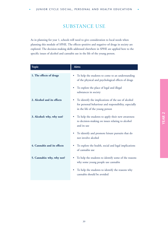### SUBSTANCE USE

As in planning for year 1, schools will need to give consideration to local needs when planning this module of SPHE. The effects–positive and negative–of drugs in society are explored. The decision-making skills addressed elsewhere in SPHE are applied here to the specific issues of alcohol and cannabis use in the life of the young person.

| <b>Topic</b>                | <b>Aims</b>                                                                                                                                    |
|-----------------------------|------------------------------------------------------------------------------------------------------------------------------------------------|
| 1. The effects of drugs     | To help the students to come to an understanding<br>of the physical and psychological effects of drugs                                         |
|                             | To explore the place of legal and illegal<br>substances in society                                                                             |
| 2. Alcohol and its effects  | To identify the implications of the use of alcohol<br>for personal behaviour and responsibility, especially<br>in the life of the young person |
| 3. Alcohol: why, why not?   | To help the students to apply their new awareness<br>to decision-making on issues relating to alcohol<br>and its use                           |
|                             | To identify and promote leisure pursuits that do<br>not involve alcohol                                                                        |
| 4. Cannabis and its effects | To explore the health, social and legal implications<br>of cannabis use                                                                        |
| 5. Cannabis: why, why not?  | To help the students to identify some of the reasons<br>why some young people use cannabis                                                     |
|                             | To help the students to identify the reasons why<br>۰<br>cannabis should be avoided                                                            |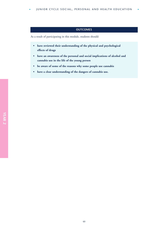JUNIOR CYCLE SOCIAL, PERSONAL AND HEALTH EDUCATION

#### **OUTCOMES**

- **have reviewed their understanding of the physical and psychological effects of drugs**
- **have an awareness of the personal and social implications of alcohol and cannabis use in the life of the young person**
- **be aware of some of the reasons why some people use cannabis**
- **have a clear understanding of the dangers of cannabis use.**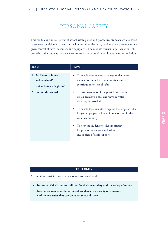### PERSONAL SAFETY

This module includes a review of school safety policy and procedure. Students are also asked to evaluate the risk of accidents in the home and on the farm, particularly if the students are given control of farm machinery and equipment. The module focuses in particular on risks over which the students may have less control: risk of attack, assault, abuse, or intimidation.

| <b>Topic</b>                                                                                           | <b>Aims</b>                                                                                                                                                                                                                                                                                                                                                                                                                                                                             |
|--------------------------------------------------------------------------------------------------------|-----------------------------------------------------------------------------------------------------------------------------------------------------------------------------------------------------------------------------------------------------------------------------------------------------------------------------------------------------------------------------------------------------------------------------------------------------------------------------------------|
| 1. Accidents at home<br>and at school $*$<br>*and on the farm (if applicable)<br>2. Feeling threatened | • To enable the students to recognise that every<br>member of the school community makes a<br>contribution to school safety<br>To raise awareness of the possible situations in<br>which accidents occur and ways in which<br>they may be avoided<br>To enable the students to explore the range of risks<br>٠<br>for young people: at home, in school, and in the<br>wider community<br>To help the students to identify strategies<br>$\bullet$<br>for promoting security and safety, |
|                                                                                                        | and sources of crisis support                                                                                                                                                                                                                                                                                                                                                                                                                                                           |

#### **OUTCOMES**

- **be aware of their responsibilities for their own safety and the safety of others**
- **have an awareness of the causes of accidents in a variety of situations and the measures that can be taken to avoid them.**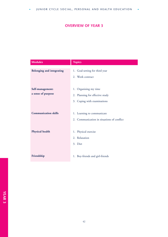### **OVERVIEW OF YEAR 3**

a)

<span id="page-45-0"></span>

| <b>Modules</b>                         | <b>Topics</b>                                                                           |
|----------------------------------------|-----------------------------------------------------------------------------------------|
| <b>Belonging and integrating</b>       | 1. Goal-setting for third year<br>2. Work contract                                      |
| Self-management:<br>a sense of purpose | 1. Organising my time<br>2. Planning for effective study<br>3. Coping with examinations |
| <b>Communication skills</b>            | 1. Learning to communicate<br>2. Communication in situations of conflict                |
| Physical health                        | 1. Physical exercise<br>2. Relaxation<br>3. Diet                                        |
| Friendship                             | 1. Boy-friends and girl-friends                                                         |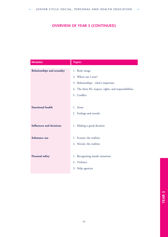### **OVERVIEW OF YEAR 3 (CONTINUED)**

| <b>Modules</b>                  | <b>Topics</b>                                           |
|---------------------------------|---------------------------------------------------------|
| Relationships and sexuality     | 1. Body image                                           |
|                                 | 2. Where am I now?                                      |
|                                 | 3. Relationships - what's important                     |
|                                 | 4. The three R's: respect, rights, and responsibilities |
|                                 | 5. Conflict                                             |
|                                 |                                                         |
| <b>Emotional health</b>         | 1. Stress                                               |
|                                 | 2. Feelings and moods                                   |
|                                 |                                                         |
| <b>Influences and decisions</b> | 1. Making a good decision                               |
|                                 |                                                         |
| Substance use                   | 1. Ecstasy: the realities                               |
|                                 | 2. Heroin: the realities                                |
|                                 |                                                         |
| Personal safety                 | 1. Recognising unsafe situations                        |
|                                 | 2. Violence                                             |
|                                 | 3. Help agencies                                        |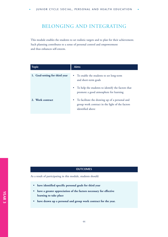### <span id="page-47-0"></span>BELONGING AND INTEGRATING

This module enables the students to set realistic targets and to plan for their achievement. Such planning contributes to a sense of personal control and empowerment and thus enhances self-esteem.

| <b>Topic</b>                   | <b>Aims</b>                                                                                                                        |
|--------------------------------|------------------------------------------------------------------------------------------------------------------------------------|
| 1. Goal-setting for third year | • To enable the students to set long-term<br>and short-term goals                                                                  |
|                                | To help the students to identify the factors that<br>$\bullet$<br>promote a good atmosphere for learning                           |
| 2. Work contract               | To facilitate the drawing up of a personal and<br>$\bullet$<br>group work contract in the light of the factors<br>identified above |

#### **OUTCOMES**

- **have identified specific personal goals for third year**
- **have a greater appreciation of the factors necessary for effective learning to take place**
- **have drawn up a personal and group work contract for the year.**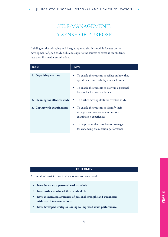### SELF-MANAGEMENT: A SENSE OF PURPOSE

Building on the belonging and integrating module, this module focuses on the development of good study skills and explores the sources of stress as the students face their first major examination.

| <b>Topic</b>                    | <b>Aims</b>                                                                                                              |
|---------------------------------|--------------------------------------------------------------------------------------------------------------------------|
| 1. Organising my time           | To enable the students to reflect on how they<br>$\bullet$<br>spend their time each day and each week                    |
|                                 | To enable the students to draw up a personal<br>٠<br>balanced schoolwork schedule                                        |
| 2. Planning for effective study | To further develop skills for effective study                                                                            |
| 3. Coping with examinations     | To enable the students to identify their<br>$\bullet$<br>strengths and weaknesses in previous<br>examination experiences |
|                                 | To help the students to develop strategies<br>٠<br>for enhancing examination performance                                 |

#### **OUTCOMES**

- **have drawn up a personal work schedule**
- **have further developed their study skills**
- **have an increased awareness of personal strengths and weaknesses with regard to examinations**
- **have developed strategies leading to improved exam performance.**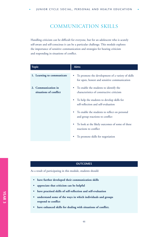### COMMUNICATION SKILLS

Handling criticism can be difficult for everyone, but for an adolescent who is acutely self-aware and self-conscious it can be a particular challenge. This module explores the importance of sensitive communication and strategies for hearing criticism and responding in situations of conflict.

| <b>Topic</b>                                  | Aims                                                                                              |
|-----------------------------------------------|---------------------------------------------------------------------------------------------------|
| 1. Learning to communicate                    | To promote the development of a variety of skills<br>for open, honest and sensitive communication |
| 2. Communication in<br>situations of conflict | To enable the students to identify the<br>characteristics of constructive criticism               |
|                                               | To help the students to develop skills for<br>٠<br>self-reflection and self-evaluation            |
|                                               | To enable the students to reflect on personal<br>and group reactions to conflict                  |
|                                               | To look at the likely outcomes of some of these<br>reactions to conflict                          |
|                                               | To promote skills for negotiation                                                                 |

#### **OUTCOMES**

- **have further developed their communication skills**
- **appreciate that criticism can be helpful**
- **have practised skills of self-reflection and self-evaluation**
- **understand some of the ways in which individuals and groups respond to conflict**
- **have enhanced skills for dealing with situations of conflict.**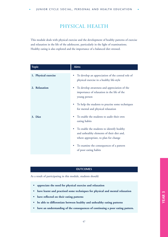### PHYSICAL HEALTH

This module deals with physical exercise and the development of healthy patterns of exercise and relaxation in the life of the adolescent, particularly in the light of examinations. Healthy eating is also explored and the importance of a balanced diet stressed.

| <b>Topic</b>         | <b>Aims</b>                                                                                                                           |
|----------------------|---------------------------------------------------------------------------------------------------------------------------------------|
| 1. Physical exercise | To develop an appreciation of the central role of<br>physical exercise in a healthy life-style                                        |
| 2. Relaxation        | To develop awareness and appreciation of the<br>٠<br>importance of relaxation in the life of the<br>young person                      |
|                      | To help the students to practise some techniques<br>۰<br>for mental and physical relaxation                                           |
| 3. Diet              | To enable the students to audit their own<br>۰<br>eating habits                                                                       |
|                      | To enable the students to identify healthy<br>۰<br>and unhealthy elements of their diet and,<br>where appropriate, to plan for change |
|                      | To examine the consequences of a pattern<br>٠<br>of poor eating habits                                                                |

#### **OUTCOMES**

- **appreciate the need for physical exercise and relaxation**
- **have learnt and practised some techniques for physical and mental relaxation**
- **have reflected on their eating patterns**
- **be able to differentiate between healthy and unhealthy eating patterns**
- **have an understanding of the consequences of continuing a poor eating pattern.**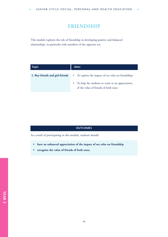### FRIENDSHIP

This module explores the role of friendship in developing positive and balanced relationships, in particular with members of the opposite sex.

| <b>Topic</b>                    | <b>Aims</b>                                                                                                                                                  |
|---------------------------------|--------------------------------------------------------------------------------------------------------------------------------------------------------------|
| 1. Boy-friends and girl-friends | • To explore the impact of sex roles on friendships<br>To help the students to come to an appreciation<br>$\bullet$<br>of the value of friends of both sexes |

### **OUTCOMES**

- **have an enhanced appreciation of the impact of sex roles on friendship**
- **recognise the value of friends of both sexes.**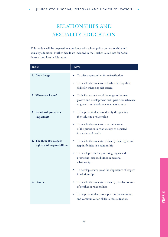### RELATIONSHIPS AND SEXUALITY EDUCATION

This module will be prepared in accordance with school policy on relationships and sexuality education. Further details are included in the Teacher Guidelines for Social, Personal and Health Education.

| <b>Topic</b>                                               | <b>Aims</b>                                                                                                                                    |
|------------------------------------------------------------|------------------------------------------------------------------------------------------------------------------------------------------------|
| 1. Body image                                              | To offer opportunities for self-reflection                                                                                                     |
|                                                            | To enable the students to further develop their<br>skills for enhancing self-esteem                                                            |
| 2. Where am I now?                                         | To facilitate a review of the stages of human<br>growth and development, with particular reference<br>to growth and development at adolescence |
| 3. Relationships: what's<br>important?                     | To help the students to identify the qualities<br>they value in a relationship                                                                 |
|                                                            | To enable the students to examine some<br>of the priorities in relationships as depicted<br>in a variety of media                              |
| 4. The three R's: respect,<br>rights, and responsibilities | To enable the students to identify their rights and<br>responsibilities in a relationship                                                      |
|                                                            | To develop skills for protecting rights and<br>٠<br>promoting responsibilities in personal<br>relationships                                    |
|                                                            | To develop awareness of the importance of respect<br>in relationships                                                                          |
| 5. Conflict                                                | To enable the students to identify possible sources<br>of conflict in relationships                                                            |
|                                                            | To help the students to apply conflict resolution<br>and communication skills to those situations                                              |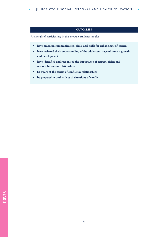JUNIOR CYCLE SOCIAL, PERSONAL AND HEALTH EDUCATION

#### **OUTCOMES**

- **have practised communication skills and skills for enhancing self-esteem**
- **have reviewed their understanding of the adolescent stage of human growth and development**
- **have identified and recognised the importance of respect, rights and responsibilities in relationships**
- **be aware of the causes of conflict in relationships**
- **be prepared to deal with such situations of conflict.**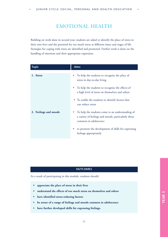### EMOTIONAL HEALTH

Building on work done in second year, students are asked to identify the place of stress in their own lives and the potential for too much stress at different times and stages of life. Strategies for coping with stress are identified and promoted. Further work is done on the handling of emotions and their appropriate expression.

| <b>Topic</b>          | <b>Aims</b>                                                                                                                      |
|-----------------------|----------------------------------------------------------------------------------------------------------------------------------|
| 1. Stress             | To help the students to recognise the place of<br>stress in day-to-day living                                                    |
|                       | To help the students to recognise the effects of<br>a high level of stress on themselves and others                              |
|                       | • To enable the students to identify factors that<br>can reduce stress                                                           |
| 2. Feelings and moods | To help the students come to an understanding of<br>a variety of feelings and moods, particularly those<br>common in adolescence |
|                       | to promote the development of skills for expressing<br>feelings appropriately                                                    |

### **OUTCOMES**

- **appreciate the place of stress in their lives**
- **understand the effects of too much stress on themselves and others**
- **have identified stress-reducing factors**
- **be aware of a range of feelings and moods common in adolescence**
- **have further developed skills for expressing feelings.**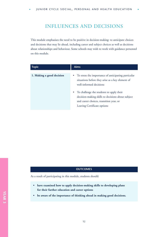### INFLUENCES AND DECISIONS

This module emphasises the need to be positive in decision-making: to anticipate choices and decisions that may lie ahead, including career and subject choices as well as decisions about relationships and behaviour. Some schools may wish to work with guidance personnel on this module.

| <b>Topic</b>              | <b>Aims</b>                                                                                                                                                                                                                                                                                                       |
|---------------------------|-------------------------------------------------------------------------------------------------------------------------------------------------------------------------------------------------------------------------------------------------------------------------------------------------------------------|
| 1. Making a good decision | • To stress the importance of anticipating particular<br>situations before they arise as a key element of<br>well-informed decisions<br>• To challenge the students to apply their<br>decision-making skills to decisions about subject<br>and career choices, transition year, or<br>Leaving Certificate options |

#### **OUTCOMES**

- **have examined how to apply decision-making skills to developing plans for their further education and career options**
- **be aware of the importance of thinking ahead in making good decisions.**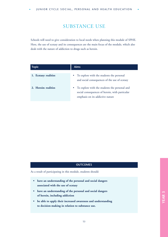### SUBSTANCE USE

Schools will need to give consideration to local needs when planning this module of SPHE. Here, the use of ecstasy and its consequences are the main focus of the module, which also deals with the nature of addiction to drugs such as heroin.

| <b>Topic</b>          | <b>Aims</b>                                                                                                                                      |
|-----------------------|--------------------------------------------------------------------------------------------------------------------------------------------------|
| 1. Ecstasy: realities | To explore with the students the personal<br>٠<br>and social consequences of the use of ecstasy                                                  |
| 2. Heroin: realities  | To explore with the students the personal and<br>$\bullet$<br>social consequences of heroin, with particular<br>emphasis on its addictive nature |

#### **OUTCOMES**

- **have an understanding of the personal and social dangers associated with the use of ecstasy**
- **have an understanding of the personal and social dangers of heroin, including addiction**
- **be able to apply their increased awareness and understanding to decision-making in relation to substance use.**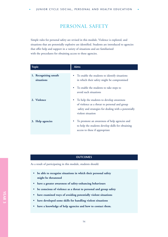### PERSONAL SAFETY

Simple rules for personal safety are revised in this module. Violence is explored, and situations that are potentially explosive are identified. Students are introduced to agencies that offer help and support in a variety of situations and are familiarised with the procedures for obtaining access to these agencies.

| <b>Topic</b>                        | <b>Aims</b>                                                                                                                                                             |
|-------------------------------------|-------------------------------------------------------------------------------------------------------------------------------------------------------------------------|
| 1. Recognising unsafe<br>situations | To enable the students to identify situations<br>in which their safety might be compromised                                                                             |
|                                     | To enable the students to take steps to<br>avoid such situations                                                                                                        |
| 2. Violence                         | To help the students to develop awareness<br>of violence as a threat to personal and group<br>safety and strategies for dealing with a potentially<br>violent situation |
| 3. Help agencies                    | To promote an awareness of help agencies and<br>to help the students develop skills for obtaining<br>access to these if appropriate                                     |

#### **OUTCOMES**

- **be able to recognise situations in which their personal safety might be threatened**
- **have a greater awareness of safety-enhancing behaviours**
- **be conscious of violence as a threat to personal and group safety**
- **have examined ways of avoiding potentially violent situations**
- **have developed some skills for handling violent situations**
- **have a knowledge of help agencies and how to contact them.**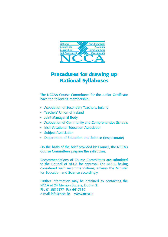

### **Procedures for drawing up National Syllabuses**

The NCCA's Course Committees for the Junior Certificate have the following membership:

- Association of Secondary Teachers, Ireland
- Teachers' Union of Ireland
- Joint Managerial Body
- Association of Community and Comprehensive Schools
- Irish Vocational Education Association
- Subject Association
- Department of Education and Science (Inspectorate)

On the basis of the brief provided by Council, the NCCA's Course Committees prepare the syllabuses.

Recommendations of Course Committees are submitted to the Council of NCCA for approval. The NCCA, having considered such recommendations, advises the Minister for Education and Science accordingly.

Further information may be obtained by contacting the NCCA at 24 Merrion Square, Dublin 2. Ph. 01-6617177 Fax 6617180 e-mail info@ncca.ie www.ncca.ie